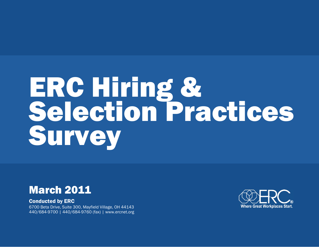# **ERC Hiring &<br>Selection Practices** Survey



Conducted by ERC 6700 Beta Drive, Suite 300, Mayfield Village, OH 44143 440/684-9700 | 440/684-9760 (fax) | www.ercnet.org

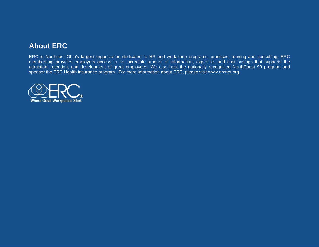# **About ERC**

ERC is Northeast Ohio's largest organization dedicated to HR and workplace programs, practices, training and consulting. ERC membership provides employers access to an incredible amount of information, expertise, and cost savings that supports the attraction, retention, and development of great employees. We also host the nationally recognized NorthCoast 99 program and sponsor the ERC Health insurance program. For more information about ERC, please visit www.ercnet.org.

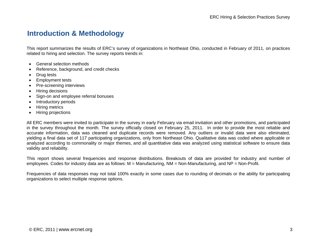# **Introduction & Methodology**

This report summarizes the results of ERC's survey of organizations in Northeast Ohio, conducted in February of 2011, on practices related to hiring and selection. The survey reports trends in:

- General selection methods
- Reference, background, and credit checks
- Drug tests
- Employment tests
- Pre-screening interviews
- Hiring decisions
- Sign-on and employee referral bonuses
- Introductory periods
- Hiring metrics
- Hiring projections

All ERC members were invited to participate in the survey in early February via email invitation and other promotions, and participated in the survey throughout the month. The survey officially closed on February 25, 2011. In order to provide the most reliable and accurate information, data was cleaned and duplicate records were removed. Any outliers or invalid data were also eliminated, yielding a final data set of 117 participating organizations, only from Northeast Ohio. Qualitative data was coded where applicable or analyzed according to commonality or major themes, and all quantitative data was analyzed using statistical software to ensure data validity and reliability.

This report shows several frequencies and response distributions. Breakouts of data are provided for industry and number of employees. Codes for industry data are as follows: M = Manufacturing, NM = Non-Manufacturing, and NP = Non-Profit.

Frequencies of data responses may not total 100% exactly in some cases due to rounding of decimals or the ability for participating organizations to select multiple response options.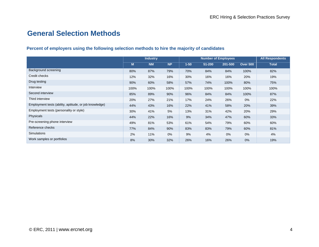# **General Selection Methods**

## **Percent of employers using the following selection methods to hire the majority of candidates**

|                                                        | <b>Industry</b> |           |           |          | <b>Number of Employees</b> | <b>All Respondents</b> |                 |              |
|--------------------------------------------------------|-----------------|-----------|-----------|----------|----------------------------|------------------------|-----------------|--------------|
|                                                        | M               | <b>NM</b> | <b>NP</b> | $1 - 50$ | 51-200                     | 201-500                | <b>Over 500</b> | <b>Total</b> |
| Background screening                                   | 80%             | 87%       | 79%       | 70%      | 84%                        | 84%                    | 100%            | 82%          |
| Credit checks                                          | 12%             | 32%       | 16%       | 30%      | 16%                        | 16%                    | 20%             | 19%          |
| Drug testing                                           | 90%             | 60%       | 58%       | 57%      | 74%                        | 100%                   | 80%             | 75%          |
| Interview                                              | 100%            | 100%      | 100%      | 100%     | 100%                       | 100%                   | 100%            | 100%         |
| Second interview                                       | 85%             | 89%       | 90%       | 96%      | 84%                        | 84%                    | 100%            | 87%          |
| Third interview                                        | 20%             | 27%       | 21%       | 17%      | 24%                        | 26%                    | 0%              | 22%          |
| Employment tests (ability, aptitude, or job knowledge) | 44%             | 43%       | 16%       | 22%      | 41%                        | 58%                    | 20%             | 39%          |
| Employment tests (personality or style)                | 30%             | 41%       | 5%        | 13%      | 31%                        | 42%                    | 20%             | 29%          |
| Physicals                                              | 44%             | 22%       | 16%       | 9%       | 34%                        | 47%                    | 60%             | 33%          |
| Pre-screening phone interview                          | 49%             | 81%       | 53%       | 61%      | 54%                        | 79%                    | 60%             | 60%          |
| Reference checks                                       | 77%             | 84%       | 90%       | 83%      | 83%                        | 79%                    | 60%             | 81%          |
| <b>Simulations</b>                                     | 2%              | 11%       | 0%        | 9%       | 4%                         | $0\%$                  | 0%              | 4%           |
| Work samples or portfolios                             | 8%              | 30%       | 32%       | 26%      | 16%                        | 26%                    | 0%              | 19%          |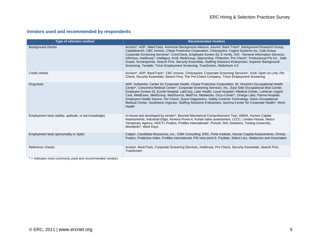## **Vendors used and recommended by respondents**

| <b>Type of selection method</b>                        | <b>Recommended Vendors</b>                                                                                                                                                                                                                                                                                                                                                                                                                                                                                                                                                                                                                                                      |
|--------------------------------------------------------|---------------------------------------------------------------------------------------------------------------------------------------------------------------------------------------------------------------------------------------------------------------------------------------------------------------------------------------------------------------------------------------------------------------------------------------------------------------------------------------------------------------------------------------------------------------------------------------------------------------------------------------------------------------------------------|
| Background checks                                      | Acxiom*, ADP, Allied Data, American Background Alliance, Asurint, Back Track*, Background Research Group,<br>Castlebranch, CBC Innovis, Chase Protective Corporation, Choicepoint, Cogent Systems Inc, Cole Group<br>Corporate Screening Services*, CrimCheck, Employee Screen IQ, E-Verify, GIS - General Information Services,<br>Informus, Intellicorp*, Intelligius, Kroll, MedGroup, Openonline, Pinkerton, Pre Check*, Professional PIs Inc., Safe<br>Guard, Screenpointe, Search First, Security Essentials, Staffing Solutions Enterprises, Superior Background<br>Screening, Tenable, Tricor Employment Screening, TrueScreen, Webcheck 4.0                            |
| Credit checks                                          | Acxiom*, ADP, BackTrack*, CBC Innovis, Choicepoint, Corporate Screening Services*, Kroll, Open on Line, Per<br>Check, Security Essentials, Search First, The Pre-Check Company, Tricor Employment Screening                                                                                                                                                                                                                                                                                                                                                                                                                                                                     |
| Drug tests                                             | ADP, Aultworks, Center for Corporate Health, Chase Protective Corporation, St. Vincent's Occupational Health<br>Center*, Concentra Medical Center*, Corporate Screening Services, Inc., East Side Occupational Med Center,<br>Employee Screen IQ, Euclid Hospital, LabCorp, Lake Health, Local Hospital / Medical Center, Lutheran Urgent<br>Care, MedExam, MedGroup, MedSource, MedTox, Medworks, Occu-Center*, Omega Labs, Parma Hospital:<br>Employers Health Source, Per Check, Quest Diagnostics, Safety Controls Technology, Solon Occupational<br>Medical Center, Southwest Urgicare, Staffing Solutions Enterprises, Summa Center for Corporate Health*, Work<br>Health |
| Employment tests (ability, aptitude, or job knowledge) | In-house test developed by vendor*, Bennett Mechanical Comprehension Test, HBMA, Human Capital<br>Assessments, Industrial Edge, Kenexa Prove-It, Kurlan sales assessment, LCCC, London House, Nesco<br>Temporary Agency, NOCTI, Pradco, Profiles International*, Proveit, SHL Solutions, Tooling University,<br>Wonderlic*, Work Keys                                                                                                                                                                                                                                                                                                                                           |
| Employment tests (personality or style)                | Caliper, Candidate Resources, Inc., CMA Consulting, ERC, Forte Institute, Human Capital Assessments, Omnia,<br>Pradco, Predictive Index, Profiles International, PSI view point 6, PsyMax, Select Linx, Watterson and Associates                                                                                                                                                                                                                                                                                                                                                                                                                                                |
| Reference checks                                       | Acxiom, BackTrack, Corporate Screening Services, Intellicorp, Pre Check, Security Essentials, Search First,<br>TrueScreen                                                                                                                                                                                                                                                                                                                                                                                                                                                                                                                                                       |

\* = indicates most commonly used and recommended vendors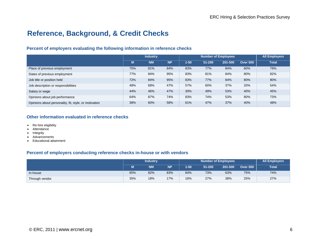# **Reference, Background, & Credit Checks**

## **Percent of employers evaluating the following information in reference checks**

|                                                       | <b>Industry</b> |           |           |          | <b>All Employers</b> |         |                 |              |
|-------------------------------------------------------|-----------------|-----------|-----------|----------|----------------------|---------|-----------------|--------------|
|                                                       | M               | <b>NM</b> | <b>NP</b> | $1 - 50$ | 51-200               | 201-500 | <b>Over 500</b> | <b>Total</b> |
| Place of previous employment                          | 75%             | 81%       | 84%       | 83%      | 77%                  | 84%     | 60%             | 79%          |
| Dates of previous employment                          | 77%             | 84%       | 95%       | 83%      | 81%                  | 84%     | 80%             | 82%          |
| Job title or position held                            | 72%             | 84%       | 95%       | 83%      | 77%                  | 84%     | 80%             | 80%          |
| Job description or responsibilities                   | 48%             | 68%       | 47%       | 57%      | 60%                  | 37%     | 20%             | 54%          |
| Salary or wage                                        | 44%             | 46%       | 47%       | 30%      | 49%                  | 53%     | 40%             | 45%          |
| Opinions about job performance                        | 64%             | 87%       | 74%       | 83%      | 74%                  | 53%     | 80%             | 73%          |
| Opinions about personality, fit, style, or motivation | 38%             | 60%       | 58%       | 61%      | 47%                  | 37%     | 40%             | 48%          |

#### **Other information evaluated in reference checks**

- Re-hire eligibility
- Attendance
- **Integrity**
- Advancements
- Educational attainment

#### **Percent of employers conducting reference checks in-house or with vendors**

|                | <i>Industry</i> |           |           |          | <b>All Employers</b> |         |                 |              |
|----------------|-----------------|-----------|-----------|----------|----------------------|---------|-----------------|--------------|
|                | M               | <b>NM</b> | <b>NP</b> | $1 - 50$ | 51-200               | 201-500 | <b>Over 500</b> | <b>Total</b> |
| In-house       | 65%             | 82%       | 83%       | 84%      | 73%                  | 63%     | 75%             | 74%          |
| Through vendor | 35%             | 18%       | 17%       | 16%      | 27%                  | 38%     | 25%             | 27%          |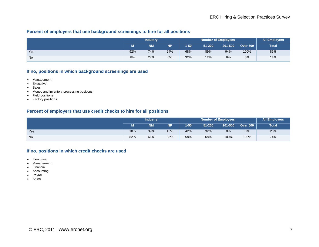## **Percent of employers that use background screenings to hire for all positions**

|     | <b>Industry</b> |           |           |      | <b>All Employers</b> |         |                 |              |
|-----|-----------------|-----------|-----------|------|----------------------|---------|-----------------|--------------|
|     |                 | <b>NM</b> | <b>NP</b> | 1-50 | 51-200               | 201-500 | <b>Over 500</b> | <b>Total</b> |
| Yes | 92%             | 74%       | 94%       | 68%  | 89%                  | 94%     | 100%            | 86%          |
| No  | 8%              | 27%       | 6%        | 32%  | 12%                  | 6%      | 0%              | 14%          |

## **If no, positions in which background screenings are used**

- Management
- Executive
- Sales
- Money and inventory processing positions
- Field positions
- Factory positions

#### **Percent of employers that use credit checks to hire for all positions**

|           | <i>Industry</i> |           |           |          | <b>All Employers</b> |         |                 |              |
|-----------|-----------------|-----------|-----------|----------|----------------------|---------|-----------------|--------------|
|           | М               | <b>NM</b> | <b>NP</b> | $1 - 50$ | 51-200               | 201-500 | <b>Over 500</b> | <b>Total</b> |
| Yes       | 18%             | 39%       | 13%       | 42%      | 32%                  | 0%      | 0%              | 26%          |
| <b>No</b> | 82%             | 61%       | 88%       | 58%      | 68%                  | 100%    | 100%            | 74%          |

#### **If no, positions in which credit checks are used**

- Executive
- Management
- Financial
- Accounting
- Payroll
- Sales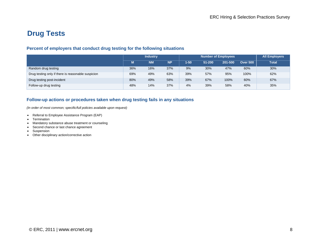# **Drug Tests**

#### **Percent of employers that conduct drug testing for the following situations**

|                                                    | <b>Industry</b> |           |           |      | All Employers |         |                 |              |
|----------------------------------------------------|-----------------|-----------|-----------|------|---------------|---------|-----------------|--------------|
|                                                    | M               | <b>NM</b> | <b>NP</b> | 1-50 | 51-200        | 201-500 | <b>Over 500</b> | <b>Total</b> |
| Random drug testing                                | 36%             | 16%       | 37%       | 9%   | 30%           | 47%     | 60%             | 30%          |
| Drug testing only if there is reasonable suspicion | 69%             | 49%       | 63%       | 39%  | 57%           | 95%     | 100%            | 62%          |
| Drug testing post-incident                         | 80%             | 49%       | 58%       | 39%  | 67%           | 100%    | 60%             | 67%          |
| Follow-up drug testing                             | 48%             | 14%       | 37%       | 4%   | 39%           | 58%     | 40%             | 35%          |

#### **Follow-up actions or procedures taken when drug testing fails in any situations**

*(In order of most common; specific/full policies available upon request)*

- Referral to Employee Assistance Program (EAP)
- Termination
- Mandatory substance abuse treatment or counseling
- Second chance or last chance agreement
- Suspension
- Other disciplinary action/corrective action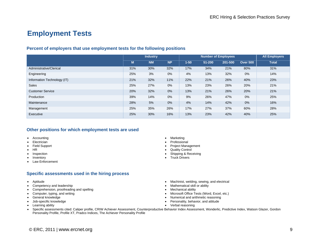# **Employment Tests**

## **Percent of employers that use employment tests for the following positions**

|                             | <b>Industry</b> |           |           |          | <b>Number of Employees</b> | <b>All Employers</b> |                 |              |
|-----------------------------|-----------------|-----------|-----------|----------|----------------------------|----------------------|-----------------|--------------|
|                             | M               | <b>NM</b> | <b>NP</b> | $1 - 50$ | 51-200                     | 201-500              | <b>Over 500</b> | <b>Total</b> |
| Administrative/Clerical     | 31%             | 30%       | 32%       | 17%      | 34%                        | 21%                  | 80%             | 31%          |
| Engineering                 | 25%             | 3%        | 0%        | 4%       | 13%                        | 32%                  | 0%              | 14%          |
| Information Technology (IT) | 21%             | 32%       | 11%       | 22%      | 21%                        | 26%                  | 40%             | 23%          |
| <b>Sales</b>                | 25%             | 27%       | 0%        | 13%      | 23%                        | 26%                  | 20%             | 21%          |
| <b>Customer Service</b>     | 20%             | 32%       | 0%        | 13%      | 21%                        | 26%                  | 20%             | 21%          |
| Production                  | 39%             | 14%       | 0%        | 9%       | 26%                        | 47%                  | 0%              | 25%          |
| Maintenance                 | 28%             | 5%        | 0%        | 4%       | 14%                        | 42%                  | 0%              | 16%          |
| Management                  | 25%             | 35%       | 26%       | 17%      | 27%                        | 37%                  | 60%             | 28%          |
| Executive                   | 25%             | 30%       | 16%       | 13%      | 23%                        | 42%                  | 40%             | 25%          |

### **Other positions for which employment tests are used**

- Accounting
- Electrician
- Field Support
- HR
- Inspection
- Inventory
- Law Enforcement

## **Specific assessments used in the hiring process**

- Aptitude
- Competency and leadership
- Comprehension, proofreading and spelling
- Computer, typing, and writing
- General knowledge
- Job-specific knowledge
- Learning ability
- Marketing
- Professional
- Project Management
- Quality Control
- Shipping & Receiving
- Truck Drivers
- Machinist, welding, sewing, and electrical
- Mathematical skill or ability
- Mechanical ability
- Microsoft Office Tests (Word, Excel, etc.)
- Numerical and arithmetic reasoning
- Personality, behavior, and attitude
- Verbal reasoning
- Specific assessments cited: Caliper profile, CRIW Achiever Assessment, Counterproductive Behavior Index Assessment, Wonderlic, Predictive Index, Watson Glazer, Gordon Personality Profile, Profile XT, Pradco Indices, The Achiever Personality Profile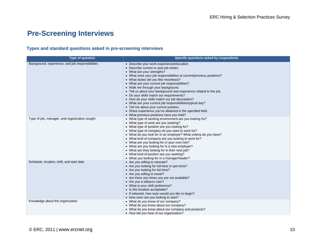# **Pre-Screening Interviews**

## **Types and standard questions asked in pre-screening interviews**

| <b>Type of question</b>                          | Specific questions asked by respondents                                                                                                                                                                                                                                                                                                                                                                                                                                                                                                                                                                                                                                                                           |
|--------------------------------------------------|-------------------------------------------------------------------------------------------------------------------------------------------------------------------------------------------------------------------------------------------------------------------------------------------------------------------------------------------------------------------------------------------------------------------------------------------------------------------------------------------------------------------------------------------------------------------------------------------------------------------------------------------------------------------------------------------------------------------|
| Background, experience, and job responsibilities | • Describe your work experience/education.<br>• Describe current or past job duties.<br>• What are your strengths?<br>• What were your job responsibilities at current/previous positions?<br>• What duties did you like most/least?<br>• What are your current job responsibilities?<br>• Walk me through your background.<br>• Tell us about your background and experience related to the job.<br>• Do your skills match our requirements?<br>• How do your skills match our job description?<br>• What are your current job responsibilities/typical day?<br>• Tell me about your current position.<br>• Share experience you've obtained in the specified field.<br>• What previous positions have you held? |
| Type of job, manager, and organization sought    | • What type of working environment are you looking for?<br>• What type of work are you seeking?<br>• What type of position are you looking for?<br>• What type of company do you want to work for?<br>• What do you look for in an employer? What criteria do you have?<br>• What kind of company are you looking to work for?<br>• What are you looking for in your next role?<br>• What are you looking for in a new employer?<br>• What are they looking for in their next job?<br>• What kind of position are you seeking?<br>• What you looking for in a manager/leader?                                                                                                                                     |
| Schedule, location, shift, and start date        | • Are you willing to relocate?<br>• Are you looking for full-time or part-time?<br>• Are you looking for full time?<br>• Are you willing to travel?<br>• Are there any times you are not available?<br>• Are you a tobacco user?<br>• What is your shift preference?<br>• Is this location acceptable?<br>• If selected, how soon would you like to begin?<br>• How soon are you looking to start?                                                                                                                                                                                                                                                                                                                |
| Knowledge about the organization                 | • What do you know of our company?<br>• What do you know about our company?<br>• What do you know about our company and products?<br>• How did you hear of our organization?                                                                                                                                                                                                                                                                                                                                                                                                                                                                                                                                      |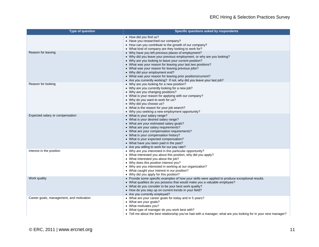| Type of question                         | Specific questions asked by respondents                                                                                                                                                                                                                                                                                                                                                                                                                                            |
|------------------------------------------|------------------------------------------------------------------------------------------------------------------------------------------------------------------------------------------------------------------------------------------------------------------------------------------------------------------------------------------------------------------------------------------------------------------------------------------------------------------------------------|
|                                          | • How did you find us?<br>• Have you researched our company?<br>• How can you contribute to the growth of our company?<br>• What kind of company are they looking to work for?                                                                                                                                                                                                                                                                                                     |
| Reason for leaving                       | • Why have you left previous places of employment?<br>• Why did you leave your previous employment, or why are you looking?<br>• Why are you looking to leave your current position?<br>• What was your reason for leaving your last two positions?<br>• What was your reason for leaving previous jobs?<br>• Why did your employment end?<br>• What was your reason for leaving prior positions/current?<br>• Are you currently working? If not, why did you leave your last job? |
| Reason for looking                       | • Why are you looking for a new position?<br>• Why are you currently looking for a new job?<br>• Why are you changing positions?<br>• What is your reason for applying with our company?<br>• Why do you want to work for us?<br>• Why did you choose us?<br>• What is the reason for your job search?<br>• Why you seeking a new employment opportunity?                                                                                                                          |
| Expected salary or compensation          | • What is your salary range?<br>• What is your desired salary range?<br>• What are your estimated salary goals?<br>• What are your salary requirements?<br>• What are your compensation requirements?<br>• What is your compensation history?<br>• What is your expected compensation?<br>• What have you been paid in the past?<br>• Are you willing to work for our pay rate?                                                                                                    |
| Interest in the position                 | • Why are you interested in this particular opportunity?<br>• What interested you about this position, why did you apply?<br>• What interested you about the job?<br>• Why does this position interest you?<br>• Why are you interested in working at our organization?<br>• What caught your interest in our position?<br>• Why did you apply for this position?                                                                                                                  |
| Work quality                             | • Provide some specific examples of how your skills were applied to produce exceptional results.<br>• What qualities do you possess that would make you a valuable employee?<br>• What do you consider to be your best work quality?<br>• How do you stay up on current trends in your field?<br>• Are you currently employed?                                                                                                                                                     |
| Career goals, management, and motivation | • What are your career goals for today and in 5 years?<br>• What are your goals?<br>• What motivates you?<br>• What type of manager do you work best with?<br>• Tell me about the best relationship you've had with a manager; what are you looking for in your next manager?                                                                                                                                                                                                      |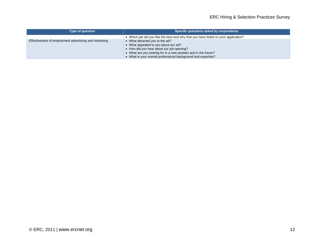| <b>Type of question</b>                               | Specific questions asked by respondents                                                                                                                                                                                                                  |
|-------------------------------------------------------|----------------------------------------------------------------------------------------------------------------------------------------------------------------------------------------------------------------------------------------------------------|
|                                                       | • Which job did you like the best and why that you have listed on your application?                                                                                                                                                                      |
| Effectiveness of employment advertising and marketing | • What attracted you to the ad?<br>• What appealed to you about our ad?<br>• How did you hear about our job opening?<br>• What are you looking for in a new position and in the future?<br>• What is your overall professional background and expertise? |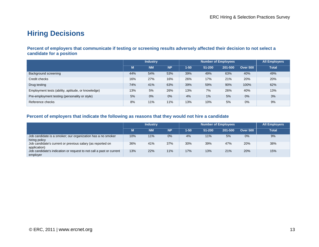# **Hiring Decisions**

#### **Percent of employers that communicate if testing or screening results adversely affected their decision to not select a candidate for a position**

|                                                    | <b>Industry</b> |           |           |          | All Employers |         |                 |              |
|----------------------------------------------------|-----------------|-----------|-----------|----------|---------------|---------|-----------------|--------------|
|                                                    | М               | <b>NM</b> | <b>NP</b> | $1 - 50$ | 51-200        | 201-500 | <b>Over 500</b> | <b>Total</b> |
| Background screening                               | 44%             | 54%       | 53%       | 39%      | 49%           | 63%     | 40%             | 49%          |
| Credit checks                                      | 16%             | 27%       | 16%       | 26%      | 17%           | 21%     | 20%             | 20%          |
| Drug testing                                       | 74%             | 41%       | 63%       | 39%      | 59%           | 90%     | 100%            | 62%          |
| Employment tests (ability, aptitude, or knowledge) | 13%             | 5%        | 26%       | 13%      | 7%            | 26%     | 40%             | 13%          |
| Pre-employment testing (personality or style)      | 5%              | 0%        | 0%        | 4%       | 1%            | 5%      | 0%              | 3%           |
| Reference checks                                   | 8%              | 11%       | 11%       | 13%      | 10%           | 5%      | 0%              | 9%           |

#### **Percent of employers that indicate the following as reasons that they would not hire a candidate**

|                                                                                 | <b>Industry</b> |           |           |          | <b>All Employers</b> |         |                 |              |
|---------------------------------------------------------------------------------|-----------------|-----------|-----------|----------|----------------------|---------|-----------------|--------------|
|                                                                                 | М               | <b>NM</b> | <b>NP</b> | $1 - 50$ | 51-200               | 201-500 | <b>Over 500</b> | <b>Total</b> |
| Job candidate is a smoker; our organization has a no smoker<br>hiring policy    | 10%             | 11%       | 0%        | 4%       | 11%                  | 5%      | 0%              | 9%           |
| Job candidate's current or previous salary (as reported on<br>application)      | 36%             | 41%       | 37%       | 30%      | 39%                  | 47%     | 20%             | 38%          |
| Job candidate's indication or request to not call a past or current<br>employer | 13%             | 22%       | 11%       | 17%      | 13%                  | 21%     | 20%             | 15%          |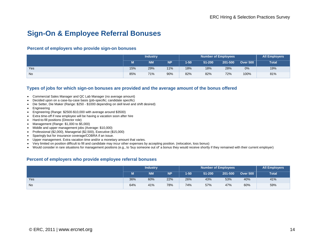# **Sign-On & Employee Referral Bonuses**

#### **Percent of employers who provide sign-on bonuses**

|           | <b>Industry</b> |           |           |          | <b>All Employers</b> |         |                 |       |
|-----------|-----------------|-----------|-----------|----------|----------------------|---------|-----------------|-------|
|           |                 | <b>NM</b> | <b>NP</b> | $1 - 50$ | 51-200               | 201-500 | <b>Over 500</b> | Total |
| Yes       | 15%             | 29%       | 11%       | 18%      | 18%                  | 28%     | 0%              | 19%   |
| <b>No</b> | 85%             | 71%       | 90%       | 82%      | 82%                  | 72%     | 100%            | 81%   |

#### **Types of jobs for which sign-on bonuses are provided and the average amount of the bonus offered**

- Commercial Sales Manager and QC Lab Manager (no average amount)
- Decided upon on a case-by-case basis (job-specific; candidate specific)
- Die Setter, Die Maker (Range: \$250 \$1000 depending on skill level and shift desired)
- Engineering
- Engineering (Range: \$2500-\$10,000 with average around \$3500)
- Extra time-off if new employee will be having a vacation soon after hire
- Hard-to-fill positions (Director role)
- Management (Range: \$1,000 to \$5,000)
- Middle and upper management jobs (Average: \$10,000)
- Professional (\$2,000), Managerial (\$2,500), Executive (\$15,000)
- Sparingly but for insurance coverage/COBRA if an issue.
- Upper management. Extra vacation time and/or a monetary amount that varies.
- Very limited on position difficult to fill and candidate may incur other expenses by accepting position. (relocation, loss bonus)
- Would consider in rare situations for management positions (e.g., to 'buy someone out of' a bonus they would receive shortly if they remained with their current employer)

#### **Percent of employers who provide employee referral bonuses**

|           | <b>Industry</b> |           |           |          | <b>Number of Employees</b> | <b>All Employers</b> |                 |              |
|-----------|-----------------|-----------|-----------|----------|----------------------------|----------------------|-----------------|--------------|
|           | M               | <b>NM</b> | <b>NP</b> | $1 - 50$ | 51-200                     | 201-500              | <b>Over 500</b> | <b>Total</b> |
| Yes       | 36%             | 60%       | 22%       | 26%      | 43%                        | 53%                  | 40%             | 41%          |
| <b>No</b> | 64%             | 41%       | 78%       | 74%      | 57%                        | 47%                  | 60%             | 59%          |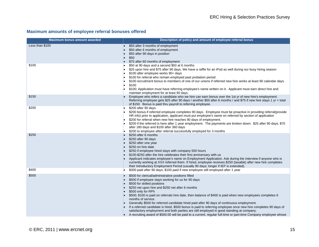## **Maximum amounts of employee referral bonuses offered**

| <b>Maximum bonus amount awarded</b> | Description of policy and amount of employee referral bonus                                                                                                                                                                                                                                                                                                                                                                                                                                                                                                                                                                                                                                                                                                                        |
|-------------------------------------|------------------------------------------------------------------------------------------------------------------------------------------------------------------------------------------------------------------------------------------------------------------------------------------------------------------------------------------------------------------------------------------------------------------------------------------------------------------------------------------------------------------------------------------------------------------------------------------------------------------------------------------------------------------------------------------------------------------------------------------------------------------------------------|
| Less than \$100                     | \$50 after 3 months of employment<br>\$50 after 6 months of employment<br>\$50 after 90 days in position<br>\$50<br>\$75 after 60 months of employment                                                                                                                                                                                                                                                                                                                                                                                                                                                                                                                                                                                                                             |
| \$100                               | \$50 at 90 days and a second \$50 at 6 months<br>\$25 upon hire and \$75 after 90 days. We have a raffle for an iPod as well during our busy hiring season<br>\$100 after employee works 90+ days<br>\$100 for referral who remain employed past probation period<br>\$100 recruitment bonus to members of one of our unions if referred new hire works at least 90 calendar days.<br>\$100<br>\$100; Application must have referring employee's name written on it. Applicant must earn direct hire and<br>maintain employment for at least 90 days.                                                                                                                                                                                                                              |
| \$150                               | Employee who refers a candidate who we hire can earn bonus over the 1st yr of new hire's employment.<br>Referring employee gets \$25 after 90 days / another \$50 after 6 months / and \$75 if new hire stays 1 yr = total<br>of \$150 Bonus is paid thru payroll to referring employee.                                                                                                                                                                                                                                                                                                                                                                                                                                                                                           |
| \$200                               | \$200 after 90 days<br>\$200 bonus if referred employee completes 90 days. Employee must be proactive in providing referral(provide<br>HR info) prior to application, applicant must put employee's name on referred by section of application<br>\$200 for referral when new hire reaches 90 days of employment.<br>\$200 if the referred is here after 1 year employment. The payments are broken down: \$25 after 90 days; \$75<br>after 180 days and \$100 after 360 days<br>\$200 to employee after referral successfully employed for 3 months                                                                                                                                                                                                                               |
| \$250                               | \$250 after 6 months<br>\$250 after 90 days<br>\$250 after one year<br>\$250 on hire date<br>\$250 if employee hired stays with company 500 hours<br>\$100-\$250 after the hire celebrates their first anniversary with us<br>Applicant indicates employee's name on Employment Application. Ask during the interview if anyone who is<br>currently working at XXX referred them. If hired, employee receives \$250 (taxable) after new hire completes<br>their Introductory Employment Period (usually 90 days; longer if IEP is extended).                                                                                                                                                                                                                                       |
| \$400                               | \$300 paid after 90 days; \$100 paid if new employee still employed after 1 year                                                                                                                                                                                                                                                                                                                                                                                                                                                                                                                                                                                                                                                                                                   |
| \$500                               | \$500 for clerical/administrative positions filled<br>\$500 if employee stays working for us for 90 days<br>\$500 for skilled positions<br>\$250 net upon hire and \$250 net after 6 months<br>\$500 only for RPh<br>\$500; \$100 is paid on referrals hire date, then balance of \$400 is paid when new employees completes 6<br>months of service.<br>Generally \$500 for referred candidate hired paid after 90 days of continuous employment.<br>If a referred candidate is hired, \$500 bonus is paid to referring employee once new hire completes 90 days of<br>satisfactory employment and both parties are still employed in good standing at company.<br>A recruiting award of \$500.00 will be paid to a current, regular full-time or part-time Company employee whose |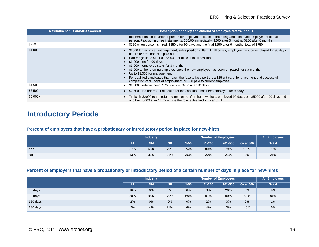| Maximum bonus amount awarded | Description of policy and amount of employee referral bonus                                                                                                                                                                                                                                                                                                                                                                                                                                                                                                                                                           |
|------------------------------|-----------------------------------------------------------------------------------------------------------------------------------------------------------------------------------------------------------------------------------------------------------------------------------------------------------------------------------------------------------------------------------------------------------------------------------------------------------------------------------------------------------------------------------------------------------------------------------------------------------------------|
|                              | recommendation of another person for employment leads to the hiring and continued employment of that<br>person. Paid out in three installments. 100.00 immediately, \$200 after 3 months, \$200 after 6 months.                                                                                                                                                                                                                                                                                                                                                                                                       |
| \$750                        | \$250 when person is hired, \$250 after 90 days and the final \$250 after 6 months; total of \$750                                                                                                                                                                                                                                                                                                                                                                                                                                                                                                                    |
| \$1,000                      | \$1000 for technical, management, sales positions filled. In all cases, employee must be employed for 90 days<br>before referral bonus is paid out.<br>Can range up to \$1,000 - \$5,000 for difficult to fill positions<br>\$1,000 if on for 90 days<br>\$1,000 if employee stays for 3 months<br>\$1,000 to the referring employee once the new employee has been on payroll for six months<br>Up to \$1,000 for management<br>For qualified candidates that reach the face to face portion, a \$25 gift card, for placement and successful<br>completion of 90 days of employment, \$1000 paid to current employee |
| \$1,500                      | \$1,500 if referral hired; \$750 on hire; \$750 after 90 days                                                                                                                                                                                                                                                                                                                                                                                                                                                                                                                                                         |
| \$2,500                      | \$2,500 for a referral. Paid out after the candidate has been employed for 90 days.                                                                                                                                                                                                                                                                                                                                                                                                                                                                                                                                   |
| $$5,000+$                    | Typically \$2000 to the referring employee after the new hire is employed 90 days; but \$5000 after 90 days and<br>another \$5000 after 12 months is the role is deemed 'critical' to fill                                                                                                                                                                                                                                                                                                                                                                                                                            |

## **Introductory Periods**

## **Percent of employers that have a probationary or introductory period in place for new-hires**

|           | <i>Industry</i> |           |           |          | <b>All Employers</b> |         |                 |              |
|-----------|-----------------|-----------|-----------|----------|----------------------|---------|-----------------|--------------|
|           | M               | <b>NM</b> | <b>NP</b> | $1 - 50$ | 51-200               | 201-500 | <b>Over 500</b> | <b>Total</b> |
| Yes       | 87%             | 68%       | 79%       | 74%      | 80%                  | 79%     | 100%            | 79%          |
| <b>No</b> | 13%             | 32%       | 21%       | 26%      | 20%                  | 21%     | 0%              | 21%          |

## **Percent of employers that have a probationary or introductory period of a certain number of days in place for new-hires**

|          |     | <b>Industry</b> |           |      | <b>All Employers</b> |         |                 |              |
|----------|-----|-----------------|-----------|------|----------------------|---------|-----------------|--------------|
|          | М   | <b>NM</b>       | <b>NP</b> | 1-50 | 51-200               | 201-500 | <b>Over 500</b> | <b>Total</b> |
| 60 days  | 16% | 0%              | 0%        | 6%   | 8%                   | 20%     | 0%              | 9%           |
| 90 days  | 80% | 96%             | 79%       | 88%  | 87%                  | 80%     | 60%             | 84%          |
| 120 days | 2%  | 0%              | 0%        | 0%   | 2%                   | 0%      | 0%              | 1%           |
| 180 days | 2%  | 4%              | 21%       | 6%   | 4%                   | 0%      | 40%             | 6%           |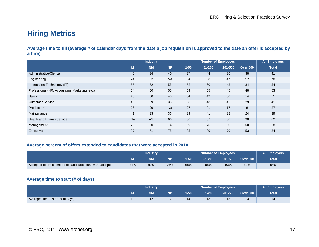# **Hiring Metrics**

**Average time to fill (average # of calendar days from the date a job requisition is approved to the date an offer is accepted by a hire)** 

|                                                | <b>Industry</b> |           |           |          | <b>All Employers</b> |         |                 |              |
|------------------------------------------------|-----------------|-----------|-----------|----------|----------------------|---------|-----------------|--------------|
|                                                | M.              | <b>NM</b> | <b>NP</b> | $1 - 50$ | 51-200               | 201-500 | <b>Over 500</b> | <b>Total</b> |
| Administrative/Clerical                        | 46              | 34        | 40        | 37       | 44                   | 36      | 38              | 41           |
| Engineering                                    | 74              | 62        | n/a       | 64       | 93                   | 47      | n/a             | 78           |
| Information Technology (IT)                    | 55              | 52        | 55        | 52       | 60                   | 43      | 34              | 54           |
| Professional (HR, Accounting, Marketing, etc.) | 54              | 50        | 55        | 54       | 55                   | 45      | 48              | 53           |
| <b>Sales</b>                                   | 45              | 60        | 40        | 64       | 49                   | 50      | 14              | 51           |
| <b>Customer Service</b>                        | 45              | 39        | 33        | 33       | 43                   | 46      | 29              | 41           |
| Production                                     | 26              | 29        | n/a       | 27       | 31                   | 17      | 8               | 27           |
| Maintenance                                    | 41              | 33        | 36        | 39       | 41                   | 38      | 24              | 39           |
| <b>Health and Human Service</b>                | n/a             | n/a       | 66        | 60       | 57                   | 68      | 90              | 62           |
| Management                                     | 70              | 60        | 74        | 59       | 75                   | 60      | 50              | 68           |
| Executive                                      | 97              | 71        | 78        | 85       | 89                   | 79      | 53              | 84           |

#### **Average percent of offers extended to candidates that were accepted in 2010**

|                                                           | Industrv |           |           |          | <b>Number of Employees</b> | <b>All Employers</b> |                 |       |
|-----------------------------------------------------------|----------|-----------|-----------|----------|----------------------------|----------------------|-----------------|-------|
|                                                           |          | <b>NM</b> | <b>NP</b> | $1 - 50$ | 51-200                     | 201-500              | <b>Over 500</b> | Total |
| Accepted offers extended to candidates that were accepted | 84%      | 89%       | 76%       | 68%      | 88%                        | 93%                  | 89%             | 84%   |

### **Average time to start (# of days)**

|                                   | <b>Industry</b> |           |                |          | <b>Number of Employees</b> | <b>All Employers</b> |                 |              |
|-----------------------------------|-----------------|-----------|----------------|----------|----------------------------|----------------------|-----------------|--------------|
|                                   | <b>B</b>        | <b>NM</b> | NΡ             | $1 - 50$ | 51-200                     | 201-500              | <b>Over 500</b> | <b>Total</b> |
| Average time to start (# of days) | ں ا             | $\sim$    | $\overline{ }$ | 14       | יי                         | 15                   |                 | ۱4           |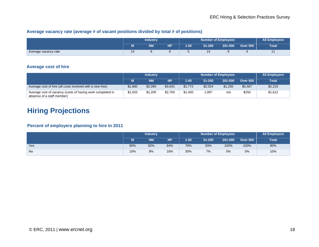## **Average vacancy rate (average # of vacant positions divided by total # of positions)**

|                      | <b>Industry</b> |           |           |      | <b>Number of Employees</b> | <b>All Employers</b> |                 |              |
|----------------------|-----------------|-----------|-----------|------|----------------------------|----------------------|-----------------|--------------|
|                      | ш               | <b>NM</b> | <b>NP</b> | 1-50 | 51-200                     | 201-500              | <b>Over 500</b> | <b>Total</b> |
| Average vacancy rate | 14              |           |           |      | 14                         |                      |                 |              |

## **Average cost of hire**

|                                                                                          | <b>Industry</b> |           |           |         | All Employers |         |                 |              |
|------------------------------------------------------------------------------------------|-----------------|-----------|-----------|---------|---------------|---------|-----------------|--------------|
|                                                                                          |                 | <b>NM</b> | <b>NP</b> | $1-50$  | 51-200        | 201-500 | <b>Over 500</b> | <b>Total</b> |
| Average cost of hire (all costs involved with a new hire)                                | \$1,860         | \$2,090   | \$3,642   | \$1,772 | \$2,024       | \$1,250 | \$5,467         | \$2,233      |
| Average cost of vacancy (costs of having work completed in<br>absence of a staff member) | \$1,633         | \$1,200   | \$2,700   | \$1,400 | .897          | n/a     | \$250           | \$1,612      |

## **Hiring Projections**

## **Percent of employers planning to hire in 2011**

|           | <b>Industry</b> |           |           | <b>Number of Employees</b> |        |         |                 | <b>All Employers</b> |
|-----------|-----------------|-----------|-----------|----------------------------|--------|---------|-----------------|----------------------|
|           | NЛ              | <b>NM</b> | <b>NP</b> | $1 - 50$                   | 51-200 | 201-500 | <b>Over 500</b> | <b>Total</b>         |
| Yes       | 90%             | 92%       | 84%       | 70%                        | 93%    | 100%    | 100%            | 90%                  |
| <b>No</b> | 10%             | 8%        | 16%       | 30%                        | 7%     | 0%      | 0%              | 10%                  |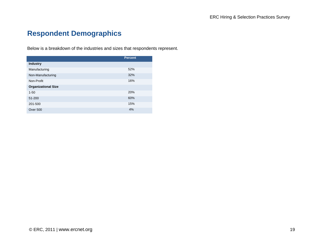# **Respondent Demographics**

Below is a breakdown of the industries and sizes that respondents represent.

|                            | <b>Percent</b> |
|----------------------------|----------------|
| <b>Industry</b>            |                |
| Manufacturing              | 52%            |
| Non-Manufacturing          | 32%            |
| Non-Profit                 | 16%            |
| <b>Organizational Size</b> |                |
| $1 - 50$                   | 20%            |
| 51-200                     | 60%            |
| 201-500                    | 15%            |
| <b>Over 500</b>            | 4%             |